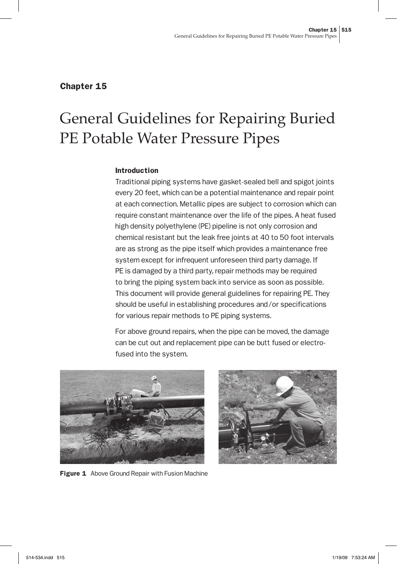## Chapter 15

# General Guidelines for Repairing Buried PE Potable Water Pressure Pipes

#### Introduction

Traditional piping systems have gasket-sealed bell and spigot joints every 20 feet, which can be a potential maintenance and repair point at each connection. Metallic pipes are subject to corrosion which can require constant maintenance over the life of the pipes. A heat fused high density polyethylene (PE) pipeline is not only corrosion and chemical resistant but the leak free joints at 40 to 50 foot intervals are as strong as the pipe itself which provides a maintenance free system except for infrequent unforeseen third party damage. If PE is damaged by a third party, repair methods may be required to bring the piping system back into service as soon as possible. This document will provide general guidelines for repairing PE. They should be useful in establishing procedures and/or specifications for various repair methods to PE piping systems.

For above ground repairs, when the pipe can be moved, the damage can be cut out and replacement pipe can be butt fused or electrofused into the system.





Figure 1 Above Ground Repair with Fusion Machine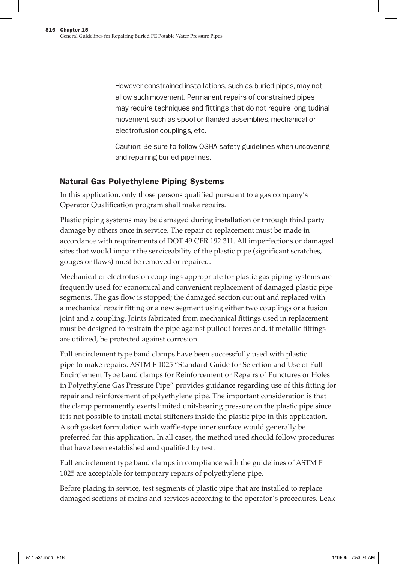However constrained installations, such as buried pipes, may not allow such movement. Permanent repairs of constrained pipes may require techniques and fittings that do not require longitudinal movement such as spool or flanged assemblies, mechanical or electrofusion couplings, etc.

Caution: Be sure to follow OSHA safety guidelines when uncovering and repairing buried pipelines.

# Natural Gas Polyethylene Piping Systems

In this application, only those persons qualified pursuant to a gas company's Operator Qualification program shall make repairs.

Plastic piping systems may be damaged during installation or through third party damage by others once in service. The repair or replacement must be made in accordance with requirements of DOT 49 CFR 192.311. All imperfections or damaged sites that would impair the serviceability of the plastic pipe (significant scratches, gouges or flaws) must be removed or repaired.

Mechanical or electrofusion couplings appropriate for plastic gas piping systems are frequently used for economical and convenient replacement of damaged plastic pipe segments. The gas flow is stopped; the damaged section cut out and replaced with a mechanical repair fitting or a new segment using either two couplings or a fusion joint and a coupling. Joints fabricated from mechanical fittings used in replacement must be designed to restrain the pipe against pullout forces and, if metallic fittings are utilized, be protected against corrosion.

Full encirclement type band clamps have been successfully used with plastic pipe to make repairs. ASTM F 1025 "Standard Guide for Selection and Use of Full Encirclement Type band clamps for Reinforcement or Repairs of Punctures or Holes in Polyethylene Gas Pressure Pipe" provides guidance regarding use of this fitting for repair and reinforcement of polyethylene pipe. The important consideration is that the clamp permanently exerts limited unit-bearing pressure on the plastic pipe since it is not possible to install metal stiffeners inside the plastic pipe in this application. A soft gasket formulation with waffle-type inner surface would generally be preferred for this application. In all cases, the method used should follow procedures that have been established and qualified by test.

Full encirclement type band clamps in compliance with the guidelines of ASTM F 1025 are acceptable for temporary repairs of polyethylene pipe.

Before placing in service, test segments of plastic pipe that are installed to replace damaged sections of mains and services according to the operator's procedures. Leak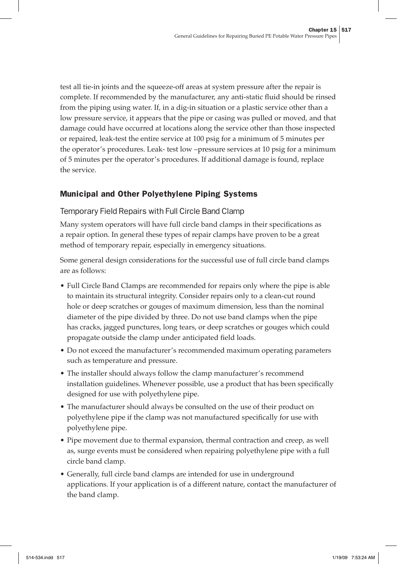test all tie-in joints and the squeeze-off areas at system pressure after the repair is complete. If recommended by the manufacturer, any anti-static fluid should be rinsed from the piping using water. If, in a dig-in situation or a plastic service other than a low pressure service, it appears that the pipe or casing was pulled or moved, and that damage could have occurred at locations along the service other than those inspected or repaired, leak-test the entire service at 100 psig for a minimum of 5 minutes per the operator's procedures. Leak- test low –pressure services at 10 psig for a minimum of 5 minutes per the operator's procedures. If additional damage is found, replace the service.

# Municipal and Other Polyethylene Piping Systems

## Temporary Field Repairs with Full Circle Band Clamp

Many system operators will have full circle band clamps in their specifications as a repair option. In general these types of repair clamps have proven to be a great method of temporary repair, especially in emergency situations.

Some general design considerations for the successful use of full circle band clamps are as follows:

- Full Circle Band Clamps are recommended for repairs only where the pipe is able to maintain its structural integrity. Consider repairs only to a clean-cut round hole or deep scratches or gouges of maximum dimension, less than the nominal diameter of the pipe divided by three. Do not use band clamps when the pipe has cracks, jagged punctures, long tears, or deep scratches or gouges which could propagate outside the clamp under anticipated field loads.
- Do not exceed the manufacturer's recommended maximum operating parameters such as temperature and pressure.
- The installer should always follow the clamp manufacturer's recommend installation guidelines. Whenever possible, use a product that has been specifically designed for use with polyethylene pipe.
- The manufacturer should always be consulted on the use of their product on polyethylene pipe if the clamp was not manufactured specifically for use with polyethylene pipe.
- Pipe movement due to thermal expansion, thermal contraction and creep, as well as, surge events must be considered when repairing polyethylene pipe with a full circle band clamp.
- Generally, full circle band clamps are intended for use in underground applications. If your application is of a different nature, contact the manufacturer of the band clamp.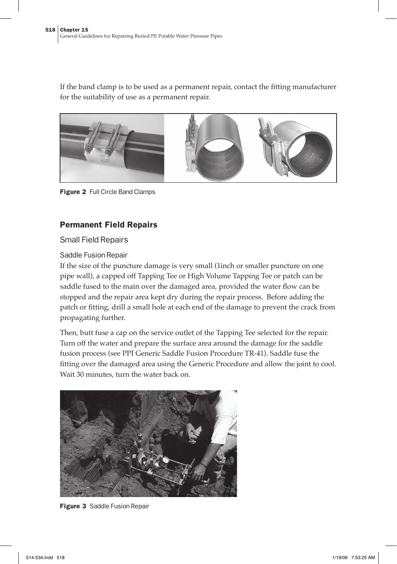If the band clamp is to be used as a permanent repair, contact the fitting manufacturer for the suitability of use as a permanent repair.



**Figure 2 Full Circle Band Clamps** 

# Permanent Field Repairs

## Small Field Repairs

## Saddle Fusion Repair

If the size of the puncture damage is very small (1inch or smaller puncture on one pipe wall), a capped off Tapping Tee or High Volume Tapping Tee or patch can be saddle fused to the main over the damaged area, provided the water flow can be stopped and the repair area kept dry during the repair process. Before adding the patch or fitting, drill a small hole at each end of the damage to prevent the crack from propagating further.

Then, butt fuse a cap on the service outlet of the Tapping Tee selected for the repair. Turn off the water and prepare the surface area around the damage for the saddle fusion process (see PPI Generic Saddle Fusion Procedure TR-41). Saddle fuse the fitting over the damaged area using the Generic Procedure and allow the joint to cool. Wait 30 minutes, turn the water back on.



Figure 3 Saddle Fusion Repair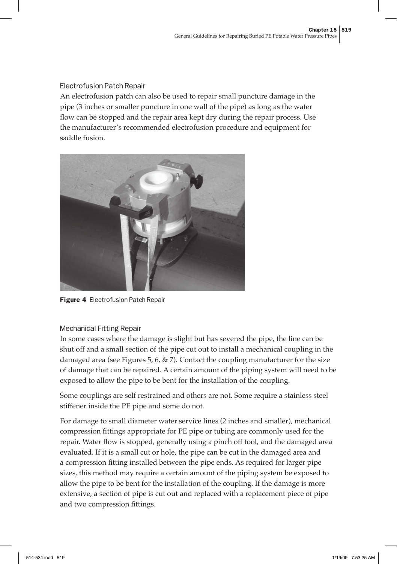Electrofusion Patch Repair

An electrofusion patch can also be used to repair small puncture damage in the pipe (3 inches or smaller puncture in one wall of the pipe) as long as the water flow can be stopped and the repair area kept dry during the repair process. Use the manufacturer's recommended electrofusion procedure and equipment for saddle fusion.



**Figure 4** Electrofusion Patch Repair

## Mechanical Fitting Repair

In some cases where the damage is slight but has severed the pipe, the line can be shut off and a small section of the pipe cut out to install a mechanical coupling in the damaged area (see Figures 5, 6, & 7). Contact the coupling manufacturer for the size of damage that can be repaired. A certain amount of the piping system will need to be exposed to allow the pipe to be bent for the installation of the coupling.

Some couplings are self restrained and others are not. Some require a stainless steel stiffener inside the PE pipe and some do not.

For damage to small diameter water service lines (2 inches and smaller), mechanical compression fittings appropriate for PE pipe or tubing are commonly used for the repair. Water flow is stopped, generally using a pinch off tool, and the damaged area evaluated. If it is a small cut or hole, the pipe can be cut in the damaged area and a compression fitting installed between the pipe ends. As required for larger pipe sizes, this method may require a certain amount of the piping system be exposed to allow the pipe to be bent for the installation of the coupling. If the damage is more extensive, a section of pipe is cut out and replaced with a replacement piece of pipe and two compression fittings.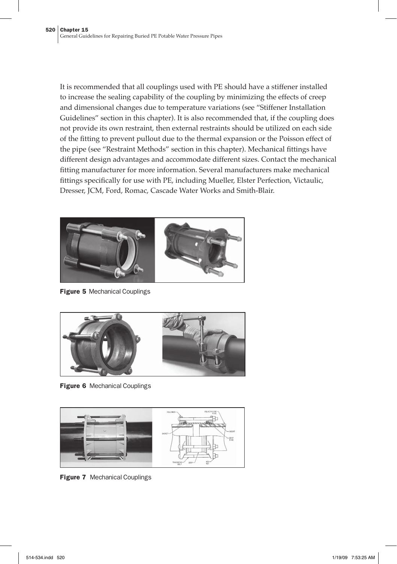It is recommended that all couplings used with PE should have a stiffener installed to increase the sealing capability of the coupling by minimizing the effects of creep and dimensional changes due to temperature variations (see "Stiffener Installation Guidelines" section in this chapter). It is also recommended that, if the coupling does not provide its own restraint, then external restraints should be utilized on each side of the fitting to prevent pullout due to the thermal expansion or the Poisson effect of the pipe (see "Restraint Methods" section in this chapter). Mechanical fittings have different design advantages and accommodate different sizes. Contact the mechanical fitting manufacturer for more information. Several manufacturers make mechanical fittings specifically for use with PE, including Mueller, Elster Perfection, Victaulic, Dresser, JCM, Ford, Romac, Cascade Water Works and Smith-Blair.



Figure 5 Mechanical Couplings



Figure 6 Mechanical Couplings



Figure 7 Mechanical Couplings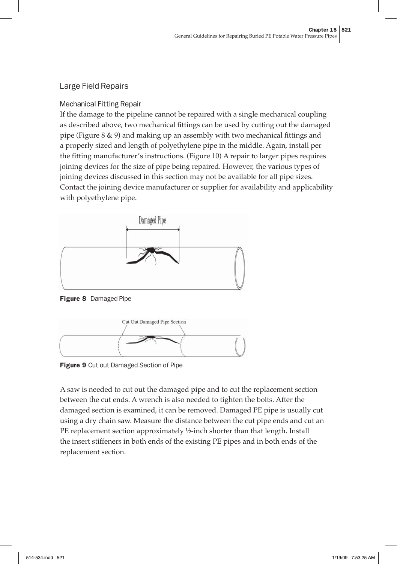# Large Field Repairs

## Mechanical Fitting Repair

If the damage to the pipeline cannot be repaired with a single mechanical coupling as described above, two mechanical fittings can be used by cutting out the damaged pipe (Figure 8 & 9) and making up an assembly with two mechanical fittings and a properly sized and length of polyethylene pipe in the middle. Again, install per the fitting manufacturer's instructions. (Figure 10) A repair to larger pipes requires joining devices for the size of pipe being repaired. However, the various types of joining devices discussed in this section may not be available for all pipe sizes. Contact the joining device manufacturer or supplier for availability and applicability with polyethylene pipe.



Figure 8 Damaged Pipe



Figure 9 Cut out Damaged Section of Pipe

A saw is needed to cut out the damaged pipe and to cut the replacement section between the cut ends. A wrench is also needed to tighten the bolts. After the damaged section is examined, it can be removed. Damaged PE pipe is usually cut using a dry chain saw. Measure the distance between the cut pipe ends and cut an PE replacement section approximately ½-inch shorter than that length. Install the insert stiffeners in both ends of the existing PE pipes and in both ends of the replacement section.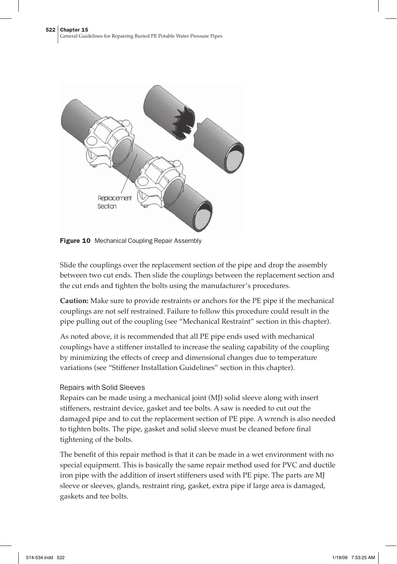

Figure 10 Mechanical Coupling Repair Assembly

Slide the couplings over the replacement section of the pipe and drop the assembly between two cut ends. Then slide the couplings between the replacement section and the cut ends and tighten the bolts using the manufacturer's procedures.

**Caution:** Make sure to provide restraints or anchors for the PE pipe if the mechanical couplings are not self restrained. Failure to follow this procedure could result in the pipe pulling out of the coupling (see "Mechanical Restraint" section in this chapter).

As noted above, it is recommended that all PE pipe ends used with mechanical couplings have a stiffener installed to increase the sealing capability of the coupling by minimizing the effects of creep and dimensional changes due to temperature variations (see "Stiffener Installation Guidelines" section in this chapter).

## Repairs with Solid Sleeves

Repairs can be made using a mechanical joint (MJ) solid sleeve along with insert stiffeners, restraint device, gasket and tee bolts. A saw is needed to cut out the damaged pipe and to cut the replacement section of PE pipe. A wrench is also needed to tighten bolts. The pipe, gasket and solid sleeve must be cleaned before final tightening of the bolts.

The benefit of this repair method is that it can be made in a wet environment with no special equipment. This is basically the same repair method used for PVC and ductile iron pipe with the addition of insert stiffeners used with PE pipe. The parts are MJ sleeve or sleeves, glands, restraint ring, gasket, extra pipe if large area is damaged, gaskets and tee bolts.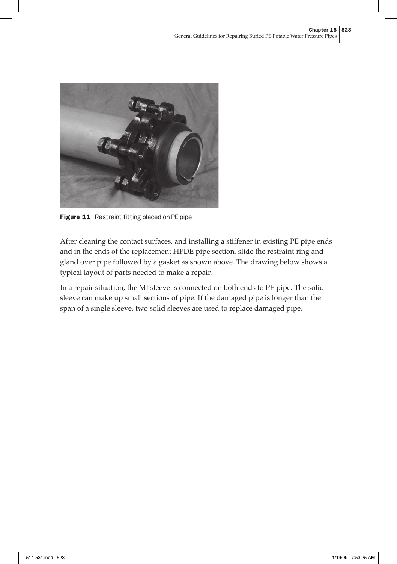

Figure 11 Restraint fitting placed on PE pipe

After cleaning the contact surfaces, and installing a stiffener in existing PE pipe ends and in the ends of the replacement HPDE pipe section, slide the restraint ring and gland over pipe followed by a gasket as shown above. The drawing below shows a typical layout of parts needed to make a repair.

In a repair situation, the MJ sleeve is connected on both ends to PE pipe. The solid sleeve can make up small sections of pipe. If the damaged pipe is longer than the span of a single sleeve, two solid sleeves are used to replace damaged pipe.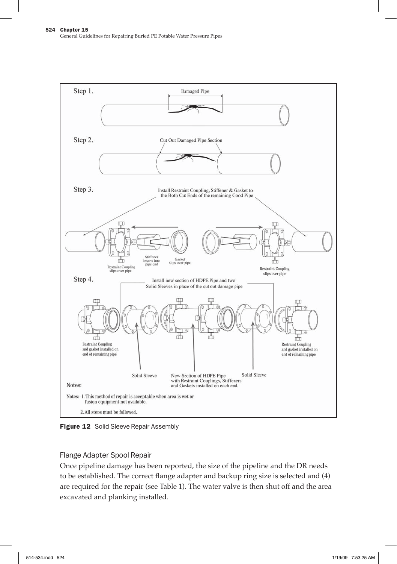

Figure 12 Solid Sleeve Repair Assembly

## Flange Adapter Spool Repair

Once pipeline damage has been reported, the size of the pipeline and the DR needs to be established. The correct flange adapter and backup ring size is selected and (4) are required for the repair (see Table 1). The water valve is then shut off and the area excavated and planking installed.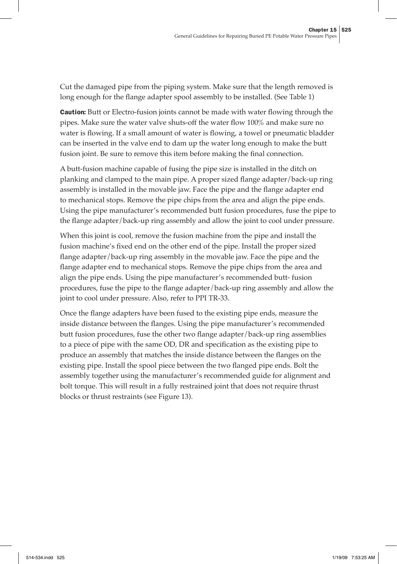Cut the damaged pipe from the piping system. Make sure that the length removed is long enough for the flange adapter spool assembly to be installed. (See Table 1)

Caution: Butt or Electro-fusion joints cannot be made with water flowing through the pipes. Make sure the water valve shuts-off the water flow 100% and make sure no water is flowing. If a small amount of water is flowing, a towel or pneumatic bladder can be inserted in the valve end to dam up the water long enough to make the butt fusion joint. Be sure to remove this item before making the final connection.

A butt-fusion machine capable of fusing the pipe size is installed in the ditch on planking and clamped to the main pipe. A proper sized flange adapter/back-up ring assembly is installed in the movable jaw. Face the pipe and the flange adapter end to mechanical stops. Remove the pipe chips from the area and align the pipe ends. Using the pipe manufacturer's recommended butt fusion procedures, fuse the pipe to the flange adapter/back-up ring assembly and allow the joint to cool under pressure.

When this joint is cool, remove the fusion machine from the pipe and install the fusion machine's fixed end on the other end of the pipe. Install the proper sized flange adapter/back-up ring assembly in the movable jaw. Face the pipe and the flange adapter end to mechanical stops. Remove the pipe chips from the area and align the pipe ends. Using the pipe manufacturer's recommended butt- fusion procedures, fuse the pipe to the flange adapter/back-up ring assembly and allow the joint to cool under pressure. Also, refer to PPI TR-33.

Once the flange adapters have been fused to the existing pipe ends, measure the inside distance between the flanges. Using the pipe manufacturer's recommended butt fusion procedures, fuse the other two flange adapter/back-up ring assemblies to a piece of pipe with the same OD, DR and specification as the existing pipe to produce an assembly that matches the inside distance between the flanges on the existing pipe. Install the spool piece between the two flanged pipe ends. Bolt the assembly together using the manufacturer's recommended guide for alignment and bolt torque. This will result in a fully restrained joint that does not require thrust blocks or thrust restraints (see Figure 13).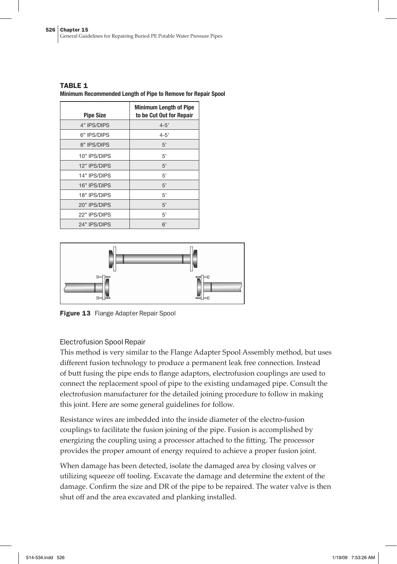| TABLE 1 |                                                               |  |
|---------|---------------------------------------------------------------|--|
|         | Minimum Recommended Length of Pipe to Remove for Repair Spool |  |

| <b>Pipe Size</b> | <b>Minimum Length of Pipe</b><br>to be Cut Out for Repair |
|------------------|-----------------------------------------------------------|
| 4" IPS/DIPS      | $4 - 5'$                                                  |
| 6" IPS/DIPS      | $4 - 5'$                                                  |
| 8" IPS/DIPS      | 5'                                                        |
| 10" IPS/DIPS     | 5'                                                        |
| 12" IPS/DIPS     | 5'                                                        |
| 14" IPS/DIPS     | 5'                                                        |
| 16" IPS/DIPS     | 5'                                                        |
| 18" IPS/DIPS     | 5'                                                        |
| 20" IPS/DIPS     | 5'                                                        |
| 22" IPS/DIPS     | 5'                                                        |
| 24" IPS/DIPS     | 6'                                                        |



Figure 13 Flange Adapter Repair Spool

#### Electrofusion Spool Repair

This method is very similar to the Flange Adapter Spool Assembly method, but uses different fusion technology to produce a permanent leak free connection. Instead of butt fusing the pipe ends to flange adaptors, electrofusion couplings are used to connect the replacement spool of pipe to the existing undamaged pipe. Consult the electrofusion manufacturer for the detailed joining procedure to follow in making this joint. Here are some general guidelines for follow.

Resistance wires are imbedded into the inside diameter of the electro-fusion couplings to facilitate the fusion joining of the pipe. Fusion is accomplished by energizing the coupling using a processor attached to the fitting. The processor provides the proper amount of energy required to achieve a proper fusion joint.

When damage has been detected, isolate the damaged area by closing valves or utilizing squeeze off tooling. Excavate the damage and determine the extent of the damage. Confirm the size and DR of the pipe to be repaired. The water valve is then shut off and the area excavated and planking installed.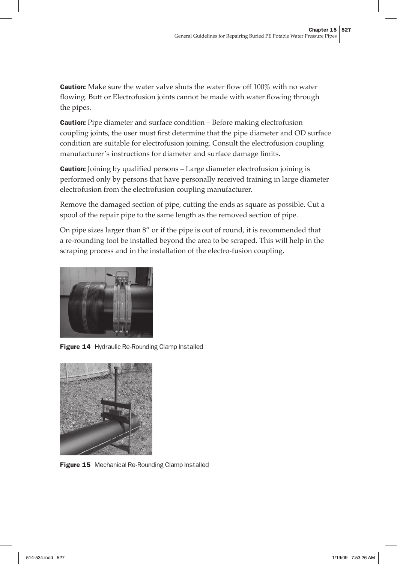Caution: Make sure the water valve shuts the water flow off 100% with no water flowing. Butt or Electrofusion joints cannot be made with water flowing through the pipes.

Caution: Pipe diameter and surface condition – Before making electrofusion coupling joints, the user must first determine that the pipe diameter and OD surface condition are suitable for electrofusion joining. Consult the electrofusion coupling manufacturer's instructions for diameter and surface damage limits.

Caution: Joining by qualified persons – Large diameter electrofusion joining is performed only by persons that have personally received training in large diameter electrofusion from the electrofusion coupling manufacturer.

Remove the damaged section of pipe, cutting the ends as square as possible. Cut a spool of the repair pipe to the same length as the removed section of pipe.

On pipe sizes larger than 8" or if the pipe is out of round, it is recommended that a re-rounding tool be installed beyond the area to be scraped. This will help in the scraping process and in the installation of the electro-fusion coupling.



Figure 14 Hydraulic Re-Rounding Clamp Installed



Figure 15 Mechanical Re-Rounding Clamp Installed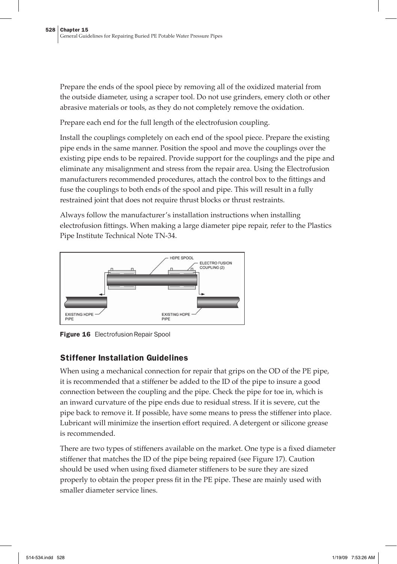Prepare the ends of the spool piece by removing all of the oxidized material from the outside diameter, using a scraper tool. Do not use grinders, emery cloth or other abrasive materials or tools, as they do not completely remove the oxidation.

Prepare each end for the full length of the electrofusion coupling.

Install the couplings completely on each end of the spool piece. Prepare the existing pipe ends in the same manner. Position the spool and move the couplings over the existing pipe ends to be repaired. Provide support for the couplings and the pipe and eliminate any misalignment and stress from the repair area. Using the Electrofusion manufacturers recommended procedures, attach the control box to the fittings and fuse the couplings to both ends of the spool and pipe. This will result in a fully restrained joint that does not require thrust blocks or thrust restraints.

Always follow the manufacturer's installation instructions when installing electrofusion fittings. When making a large diameter pipe repair, refer to the Plastics Pipe Institute Technical Note TN-34.



**Figure 16** Electrofusion Repair Spool

# Stiffener Installation Guidelines

When using a mechanical connection for repair that grips on the OD of the PE pipe, it is recommended that a stiffener be added to the ID of the pipe to insure a good connection between the coupling and the pipe. Check the pipe for toe in, which is an inward curvature of the pipe ends due to residual stress. If it is severe, cut the pipe back to remove it. If possible, have some means to press the stiffener into place. Lubricant will minimize the insertion effort required. A detergent or silicone grease is recommended.

There are two types of stiffeners available on the market. One type is a fixed diameter stiffener that matches the ID of the pipe being repaired (see Figure 17). Caution should be used when using fixed diameter stiffeners to be sure they are sized properly to obtain the proper press fit in the PE pipe. These are mainly used with smaller diameter service lines.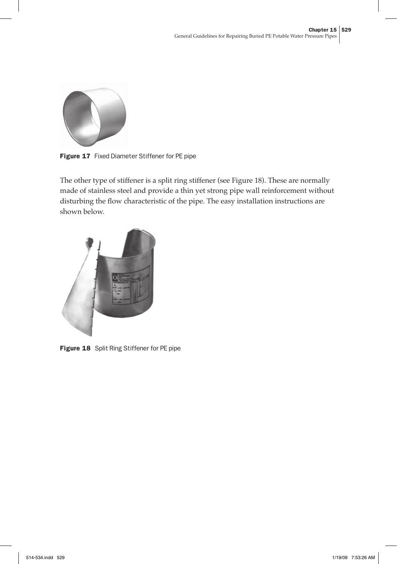

Figure 17 Fixed Diameter Stiffener for PE pipe

The other type of stiffener is a split ring stiffener (see Figure 18). These are normally made of stainless steel and provide a thin yet strong pipe wall reinforcement without disturbing the flow characteristic of the pipe. The easy installation instructions are shown below.



Figure 18 Split Ring Stiffener for PE pipe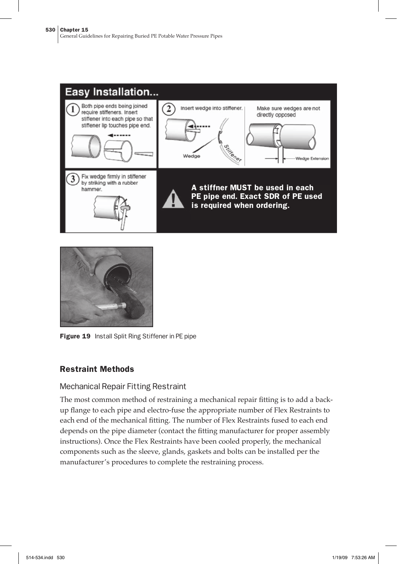



Figure 19 Install Split Ring Stiffener in PE pipe

## Restraint Methods

## Mechanical Repair Fitting Restraint

The most common method of restraining a mechanical repair fitting is to add a backup flange to each pipe and electro-fuse the appropriate number of Flex Restraints to each end of the mechanical fitting. The number of Flex Restraints fused to each end depends on the pipe diameter (contact the fitting manufacturer for proper assembly instructions). Once the Flex Restraints have been cooled properly, the mechanical components such as the sleeve, glands, gaskets and bolts can be installed per the manufacturer's procedures to complete the restraining process.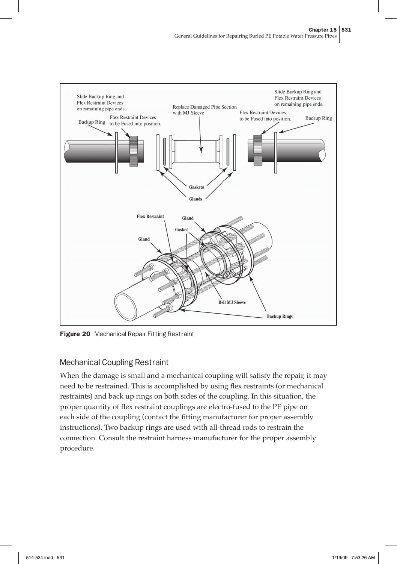

Figure 20 Mechanical Repair Fitting Restraint

## Mechanical Coupling Restraint

When the damage is small and a mechanical coupling will satisfy the repair, it may need to be restrained. This is accomplished by using flex restraints (or mechanical restraints) and back up rings on both sides of the coupling. In this situation, the proper quantity of flex restraint couplings are electro-fused to the PE pipe on each side of the coupling (contact the fitting manufacturer for proper assembly instructions). Two backup rings are used with all-thread rods to restrain the connection. Consult the restraint harness manufacturer for the proper assembly procedure.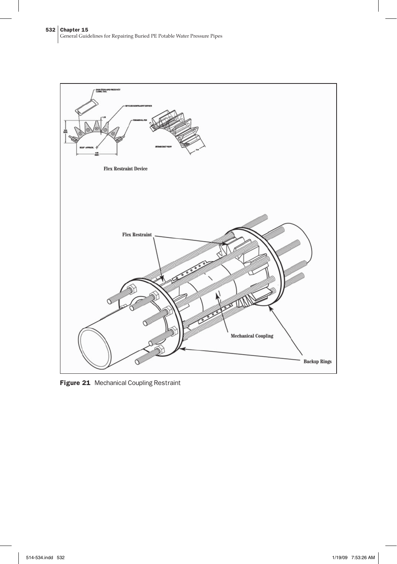

Figure 21 Mechanical Coupling Restraint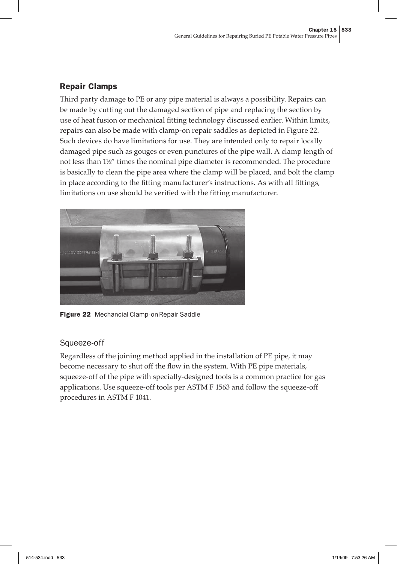# Repair Clamps

Third party damage to PE or any pipe material is always a possibility. Repairs can be made by cutting out the damaged section of pipe and replacing the section by use of heat fusion or mechanical fitting technology discussed earlier. Within limits, repairs can also be made with clamp-on repair saddles as depicted in Figure 22. Such devices do have limitations for use. They are intended only to repair locally damaged pipe such as gouges or even punctures of the pipe wall. A clamp length of not less than 1½" times the nominal pipe diameter is recommended. The procedure is basically to clean the pipe area where the clamp will be placed, and bolt the clamp in place according to the fitting manufacturer's instructions. As with all fittings, limitations on use should be verified with the fitting manufacturer.



Figure 22 Mechancial Clamp-on Repair Saddle

## Squeeze-off

Regardless of the joining method applied in the installation of PE pipe, it may become necessary to shut off the flow in the system. With PE pipe materials, squeeze-off of the pipe with specially-designed tools is a common practice for gas applications. Use squeeze-off tools per ASTM F 1563 and follow the squeeze-off procedures in ASTM F 1041.